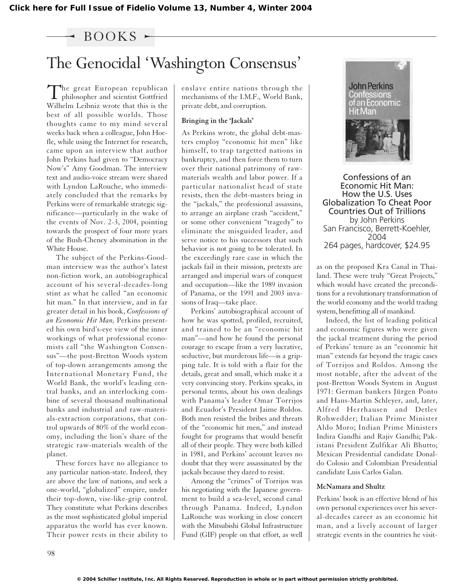### $-$  BOOKS  $-$

# The Genocidal 'Washington Consensus'

The great European republican<br>philosopher and scientist Gottfried Wilhelm Leibniz wrote that this is the best of all possible worlds. Those thoughts came to my mind several weeks back when a colleague, John Hoefle, while using the Internet for research, came upon an interview that author John Perkins had given to "Democracy Now's" Amy Goodman. The interview text and audio-voice stream were shared with Lyndon LaRouche, who immediately concluded that the remarks by Perkins were of remarkable strategic significance—particularly in the wake of the events of Nov. 2-3, 2004, pointing towards the prospect of four more years of the Bush-Cheney abomination in the White House.

The subject of the Perkins-Goodman interview was the author's latest non-fiction work, an autobiographical account of his several-decades-long stint as what he called "an economic hit man." In that interview, and in far greater detail in his book, *Confessions of an Economic Hit Man,* Perkins presented his own bird's-eye view of the inner workings of what professional economists call "the Washington Consensus"—the post-Bretton Woods system of top-down arrangements among the International Monetary Fund, the World Bank, the world's leading central banks, and an interlocking combine of several thousand multinational banks and industrial and raw-materials-extraction corporations, that control upwards of 80% of the world economy, including the lion's share of the strategic raw-materials wealth of the planet.

These forces have no allegiance to any particular nation-state. Indeed, they are above the law of nations, and seek a one-world, "globalized" empire, under their top-down, vise-like-grip control. They constitute what Perkins describes as the most sophisticated global imperial apparatus the world has ever known. Their power rests in their ability to enslave entire nations through the mechanisms of the I.M.F., World Bank, private debt, and corruption.

#### **Bringing in the 'Jackals'**

As Perkins wrote, the global debt-masters employ "economic hit men" like himself, to trap targetted nations in bankruptcy, and then force them to turn over their national patrimony of rawmaterials wealth and labor power. If a particular nationalist head of state resists, then the debt-masters bring in the "jackals," the professional assassins, to arrange an airplane crash "accident," or some other convenient "tragedy" to eliminate the misguided leader, and serve notice to his successors that such behavior is not going to be tolerated. In the exceedingly rare case in which the jackals fail in their mission, pretexts are arranged and imperial wars of conquest and occupation—like the 1989 invasion of Panama, or the 1991 and 2003 invasions of Iraq—take place.

Perkins' autobiographical account of how he was spotted, profiled, recruited, and trained to be an "economic hit man"—and how he found the personal courage to escape from a very lucrative, seductive, but murderous life—is a gripping tale. It is told with a flair for the details, great and small, which make it a very convincing story. Perkins speaks, in personal terms, about his own dealings with Panama's leader Omar Torrijos and Ecuador's President Jaime Roldos. Both men resisted the bribes and threats of the "economic hit men," and instead fought for programs that would benefit all of their people. They were both killed in 1981, and Perkins' account leaves no doubt that they were assassinated by the jackals because they dared to resist.

Among the "crimes" of Torrijos was his negotiating with the Japanese government to build a sea-level, second canal through Panama. Indeed, Lyndon LaRouche was working in close concert with the Mitsubishi Global Infrastructure Fund (GIF) people on that effort, as well



Confessions of an Economic Hit Man: How the U.S. Uses Globalization To Cheat Poor Countries Out of Trillions by John Perkins San Francisco, Berrett-Koehler, 2004 264 pages, hardcover, \$24.95

as on the proposed Kra Canal in Thailand. These were truly "Great Projects," which would have created the preconditions for a revolutionary transformation of the world economy and the world trading system, benefitting all of mankind.

Indeed, the list of leading political and economic figures who were given the jackal treatment during the period of Perkins' tenure as an "economic hit man" extends far beyond the tragic cases of Torrijos and Roldos. Among the most notable, after the advent of the post-Bretton Woods System in August 1971: German bankers Jürgen Ponto and Hans-Martin Schleyer, and, later, Alfred Herrhausen and Detlev Rohwedder; Italian Prime Minister Aldo Moro; Indian Prime Ministers Indira Gandhi and Rajiv Gandhi; Pakistani President Zulfikar Ali Bhutto; Mexican Presidential candidate Donaldo Colosio and Colombian Presidential candidate Luis Carlos Galan.

#### **McNamara and Shultz**

Perkins' book is an effective blend of his own personal experiences over his several-decades career as an economic hit man, and a lively account of larger strategic events in the countries he visit